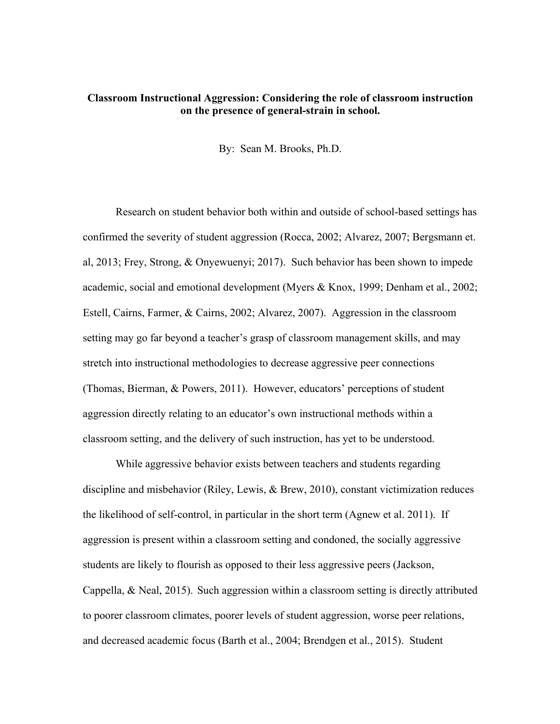## **Classroom Instructional Aggression: Considering the role of classroom instruction on the presence of general-strain in school.**

By: Sean M. Brooks, Ph.D.

Research on student behavior both within and outside of school-based settings has confirmed the severity of student aggression (Rocca, 2002; Alvarez, 2007; Bergsmann et. al, 2013; Frey, Strong, & Onyewuenyi; 2017). Such behavior has been shown to impede academic, social and emotional development (Myers & Knox, 1999; Denham et al., 2002; Estell, Cairns, Farmer, & Cairns, 2002; Alvarez, 2007). Aggression in the classroom setting may go far beyond a teacher's grasp of classroom management skills, and may stretch into instructional methodologies to decrease aggressive peer connections (Thomas, Bierman, & Powers, 2011). However, educators' perceptions of student aggression directly relating to an educator's own instructional methods within a classroom setting, and the delivery of such instruction, has yet to be understood.

While aggressive behavior exists between teachers and students regarding discipline and misbehavior (Riley, Lewis, & Brew, 2010), constant victimization reduces the likelihood of self-control, in particular in the short term (Agnew et al. 2011). If aggression is present within a classroom setting and condoned, the socially aggressive students are likely to flourish as opposed to their less aggressive peers (Jackson, Cappella, & Neal, 2015). Such aggression within a classroom setting is directly attributed to poorer classroom climates, poorer levels of student aggression, worse peer relations, and decreased academic focus (Barth et al., 2004; Brendgen et al., 2015). Student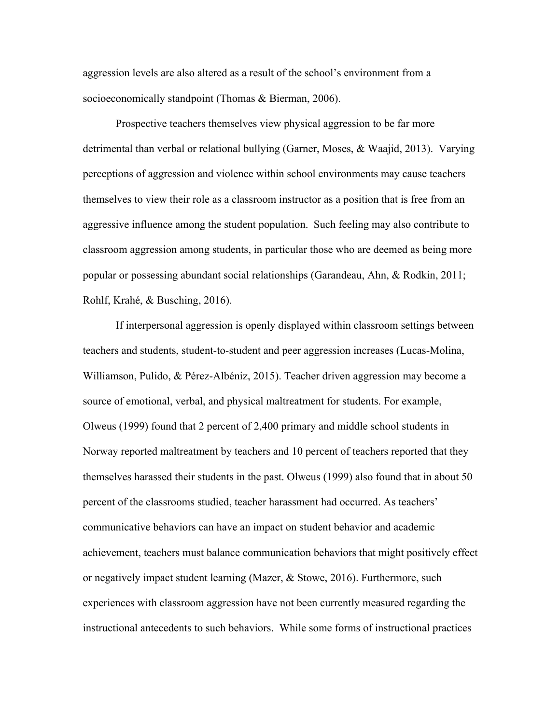aggression levels are also altered as a result of the school's environment from a socioeconomically standpoint (Thomas & Bierman, 2006).

Prospective teachers themselves view physical aggression to be far more detrimental than verbal or relational bullying (Garner, Moses, & Waajid, 2013). Varying perceptions of aggression and violence within school environments may cause teachers themselves to view their role as a classroom instructor as a position that is free from an aggressive influence among the student population. Such feeling may also contribute to classroom aggression among students, in particular those who are deemed as being more popular or possessing abundant social relationships (Garandeau, Ahn, & Rodkin, 2011; Rohlf, Krahé, & Busching, 2016).

If interpersonal aggression is openly displayed within classroom settings between teachers and students, student-to-student and peer aggression increases (Lucas-Molina, Williamson, Pulido, & Pérez-Albéniz, 2015). Teacher driven aggression may become a source of emotional, verbal, and physical maltreatment for students. For example, Olweus (1999) found that 2 percent of 2,400 primary and middle school students in Norway reported maltreatment by teachers and 10 percent of teachers reported that they themselves harassed their students in the past. Olweus (1999) also found that in about 50 percent of the classrooms studied, teacher harassment had occurred. As teachers' communicative behaviors can have an impact on student behavior and academic achievement, teachers must balance communication behaviors that might positively effect or negatively impact student learning (Mazer, & Stowe, 2016). Furthermore, such experiences with classroom aggression have not been currently measured regarding the instructional antecedents to such behaviors. While some forms of instructional practices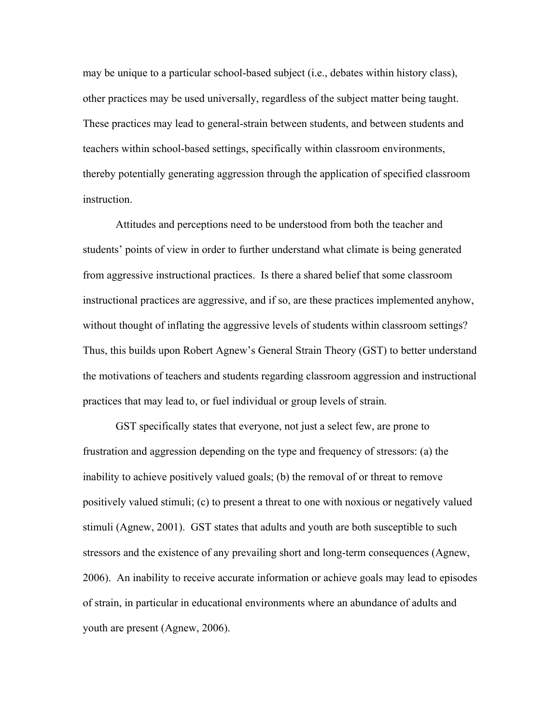may be unique to a particular school-based subject (i.e., debates within history class), other practices may be used universally, regardless of the subject matter being taught. These practices may lead to general-strain between students, and between students and teachers within school-based settings, specifically within classroom environments, thereby potentially generating aggression through the application of specified classroom instruction.

Attitudes and perceptions need to be understood from both the teacher and students' points of view in order to further understand what climate is being generated from aggressive instructional practices. Is there a shared belief that some classroom instructional practices are aggressive, and if so, are these practices implemented anyhow, without thought of inflating the aggressive levels of students within classroom settings? Thus, this builds upon Robert Agnew's General Strain Theory (GST) to better understand the motivations of teachers and students regarding classroom aggression and instructional practices that may lead to, or fuel individual or group levels of strain.

GST specifically states that everyone, not just a select few, are prone to frustration and aggression depending on the type and frequency of stressors: (a) the inability to achieve positively valued goals; (b) the removal of or threat to remove positively valued stimuli; (c) to present a threat to one with noxious or negatively valued stimuli (Agnew, 2001). GST states that adults and youth are both susceptible to such stressors and the existence of any prevailing short and long-term consequences (Agnew, 2006). An inability to receive accurate information or achieve goals may lead to episodes of strain, in particular in educational environments where an abundance of adults and youth are present (Agnew, 2006).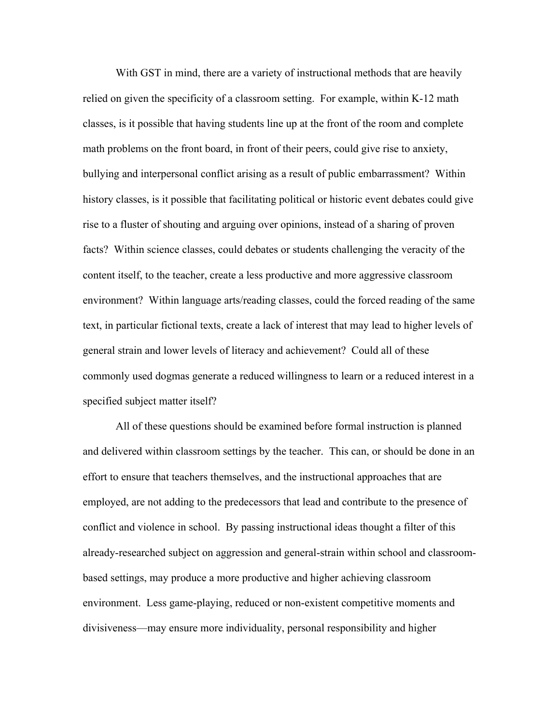With GST in mind, there are a variety of instructional methods that are heavily relied on given the specificity of a classroom setting. For example, within K-12 math classes, is it possible that having students line up at the front of the room and complete math problems on the front board, in front of their peers, could give rise to anxiety, bullying and interpersonal conflict arising as a result of public embarrassment? Within history classes, is it possible that facilitating political or historic event debates could give rise to a fluster of shouting and arguing over opinions, instead of a sharing of proven facts? Within science classes, could debates or students challenging the veracity of the content itself, to the teacher, create a less productive and more aggressive classroom environment? Within language arts/reading classes, could the forced reading of the same text, in particular fictional texts, create a lack of interest that may lead to higher levels of general strain and lower levels of literacy and achievement? Could all of these commonly used dogmas generate a reduced willingness to learn or a reduced interest in a specified subject matter itself?

All of these questions should be examined before formal instruction is planned and delivered within classroom settings by the teacher. This can, or should be done in an effort to ensure that teachers themselves, and the instructional approaches that are employed, are not adding to the predecessors that lead and contribute to the presence of conflict and violence in school. By passing instructional ideas thought a filter of this already-researched subject on aggression and general-strain within school and classroombased settings, may produce a more productive and higher achieving classroom environment. Less game-playing, reduced or non-existent competitive moments and divisiveness—may ensure more individuality, personal responsibility and higher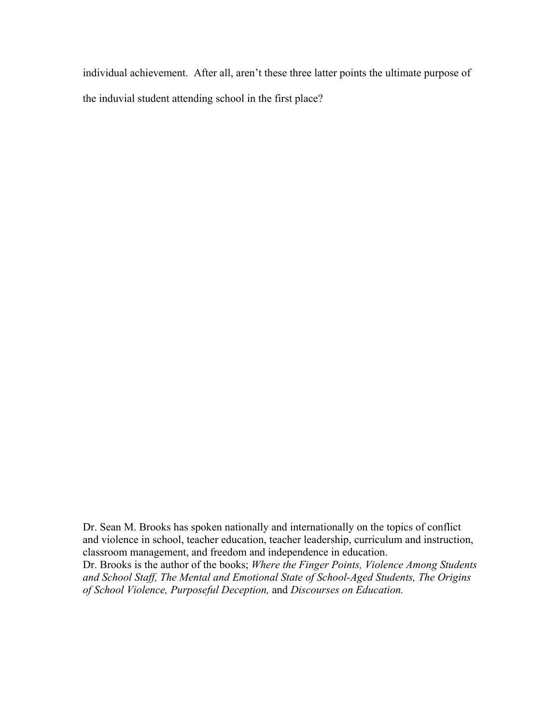individual achievement. After all, aren't these three latter points the ultimate purpose of the induvial student attending school in the first place?

Dr. Sean M. Brooks has spoken nationally and internationally on the topics of conflict and violence in school, teacher education, teacher leadership, curriculum and instruction, classroom management, and freedom and independence in education.

Dr. Brooks is the author of the books; *Where the Finger Points, Violence Among Students and School Staff, The Mental and Emotional State of School-Aged Students, The Origins of School Violence, Purposeful Deception,* and *Discourses on Education.*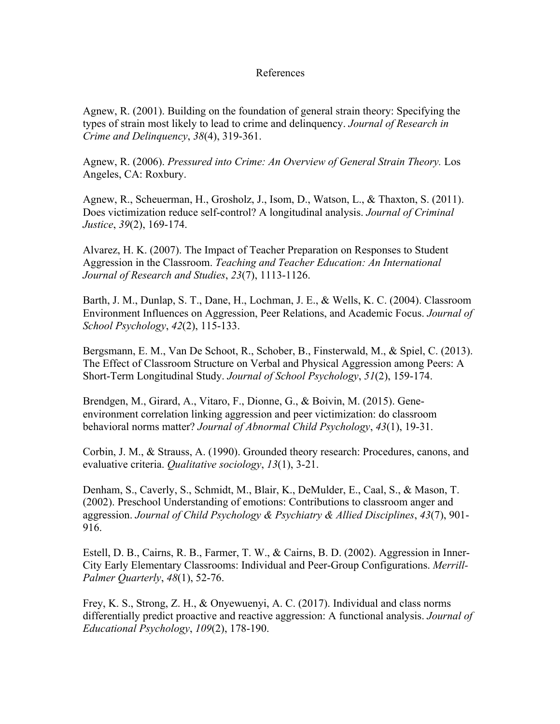## References

Agnew, R. (2001). Building on the foundation of general strain theory: Specifying the types of strain most likely to lead to crime and delinquency. *Journal of Research in Crime and Delinquency*, *38*(4), 319-361.

Agnew, R. (2006). *Pressured into Crime: An Overview of General Strain Theory.* Los Angeles, CA: Roxbury.

Agnew, R., Scheuerman, H., Grosholz, J., Isom, D., Watson, L., & Thaxton, S. (2011). Does victimization reduce self-control? A longitudinal analysis. *Journal of Criminal Justice*, *39*(2), 169-174.

Alvarez, H. K. (2007). The Impact of Teacher Preparation on Responses to Student Aggression in the Classroom. *Teaching and Teacher Education: An International Journal of Research and Studies*, *23*(7), 1113-1126.

Barth, J. M., Dunlap, S. T., Dane, H., Lochman, J. E., & Wells, K. C. (2004). Classroom Environment Influences on Aggression, Peer Relations, and Academic Focus. *Journal of School Psychology*, *42*(2), 115-133.

Bergsmann, E. M., Van De Schoot, R., Schober, B., Finsterwald, M., & Spiel, C. (2013). The Effect of Classroom Structure on Verbal and Physical Aggression among Peers: A Short-Term Longitudinal Study. *Journal of School Psychology*, *51*(2), 159-174.

Brendgen, M., Girard, A., Vitaro, F., Dionne, G., & Boivin, M. (2015). Geneenvironment correlation linking aggression and peer victimization: do classroom behavioral norms matter? *Journal of Abnormal Child Psychology*, *43*(1), 19-31.

Corbin, J. M., & Strauss, A. (1990). Grounded theory research: Procedures, canons, and evaluative criteria. *Qualitative sociology*, *13*(1), 3-21.

Denham, S., Caverly, S., Schmidt, M., Blair, K., DeMulder, E., Caal, S., & Mason, T. (2002). Preschool Understanding of emotions: Contributions to classroom anger and aggression. *Journal of Child Psychology & Psychiatry & Allied Disciplines*, *43*(7), 901- 916.

Estell, D. B., Cairns, R. B., Farmer, T. W., & Cairns, B. D. (2002). Aggression in Inner-City Early Elementary Classrooms: Individual and Peer-Group Configurations. *Merrill-Palmer Quarterly*, *48*(1), 52-76.

Frey, K. S., Strong, Z. H., & Onyewuenyi, A. C. (2017). Individual and class norms differentially predict proactive and reactive aggression: A functional analysis. *Journal of Educational Psychology*, *109*(2), 178-190.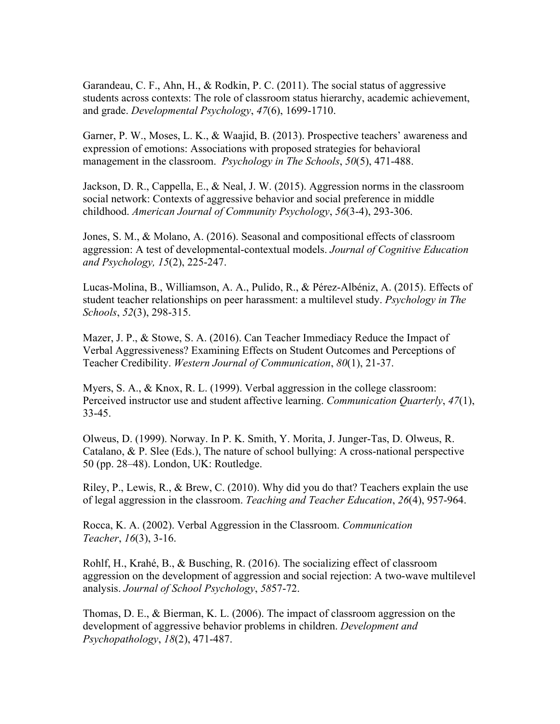Garandeau, C. F., Ahn, H., & Rodkin, P. C. (2011). The social status of aggressive students across contexts: The role of classroom status hierarchy, academic achievement, and grade. *Developmental Psychology*, *47*(6), 1699-1710.

Garner, P. W., Moses, L. K., & Waajid, B. (2013). Prospective teachers' awareness and expression of emotions: Associations with proposed strategies for behavioral management in the classroom. *Psychology in The Schools*, *50*(5), 471-488.

Jackson, D. R., Cappella, E., & Neal, J. W. (2015). Aggression norms in the classroom social network: Contexts of aggressive behavior and social preference in middle childhood. *American Journal of Community Psychology*, *56*(3-4), 293-306.

Jones, S. M., & Molano, A. (2016). Seasonal and compositional effects of classroom aggression: A test of developmental-contextual models. *Journal of Cognitive Education and Psychology, 15*(2), 225-247.

Lucas-Molina, B., Williamson, A. A., Pulido, R., & Pérez-Albéniz, A. (2015). Effects of student teacher relationships on peer harassment: a multilevel study. *Psychology in The Schools*, *52*(3), 298-315.

Mazer, J. P., & Stowe, S. A. (2016). Can Teacher Immediacy Reduce the Impact of Verbal Aggressiveness? Examining Effects on Student Outcomes and Perceptions of Teacher Credibility. *Western Journal of Communication*, *80*(1), 21-37.

Myers, S. A., & Knox, R. L. (1999). Verbal aggression in the college classroom: Perceived instructor use and student affective learning. *Communication Quarterly*, *47*(1), 33-45.

Olweus, D. (1999). Norway. In P. K. Smith, Y. Morita, J. Junger-Tas, D. Olweus, R. Catalano, & P. Slee (Eds.), The nature of school bullying: A cross-national perspective 50 (pp. 28–48). London, UK: Routledge.

Riley, P., Lewis, R., & Brew, C. (2010). Why did you do that? Teachers explain the use of legal aggression in the classroom. *Teaching and Teacher Education*, *26*(4), 957-964.

Rocca, K. A. (2002). Verbal Aggression in the Classroom. *Communication Teacher*, *16*(3), 3-16.

Rohlf, H., Krahé, B., & Busching, R. (2016). The socializing effect of classroom aggression on the development of aggression and social rejection: A two-wave multilevel analysis. *Journal of School Psychology*, *58*57-72.

Thomas, D. E., & Bierman, K. L. (2006). The impact of classroom aggression on the development of aggressive behavior problems in children. *Development and Psychopathology*, *18*(2), 471-487.